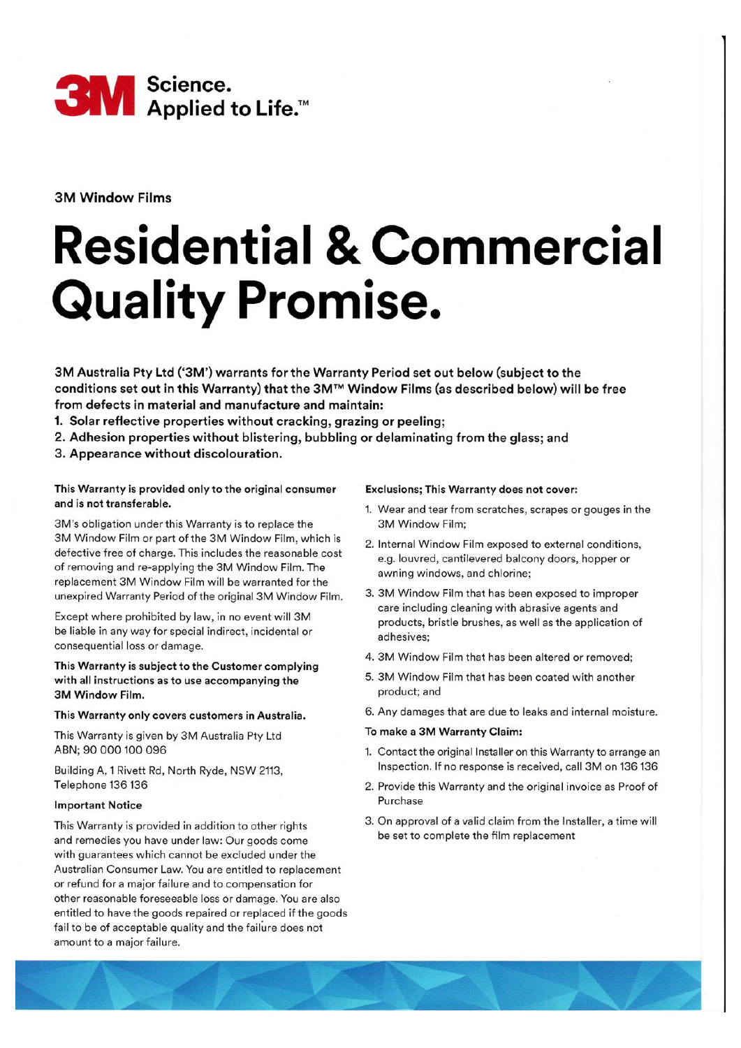

3M Window Films

# Residential & Commercial **Quality Promise.**

3M Australia Pty Ltd ('3M') warrants for the Warranty Period set out below (subject to the conditions set out in this Warranty) that the 3M'M Window Films (as described below) will be free from defects in material and manufacture and maintain:

- 1. Solar reflective properties without cracking, grazing or peeling;
- 2. Adhesion properties without blistering, bubbling or delaminating from the glass; and
- 3. Appearance without discolouration.

## This Warranty is provided only to the original consumer and is not transferable.

3M's obligation under this Warranty is to replace the 3M Window Film or part of the 3M Window Film, which is defective free of charge. This includes the reasonable cost of removing and re-applying the 3M Window Film. The replacement 3M Window Film will be warranted for the unexpired Warranty Period of the original 3M Window Film.

Except where prohibited by law, in no event will 3M be liable in any way for special indirect, incidental or consequential loss or damage.

## This Warranty is subject to the Customer complying with all instructions as to use accompanying the 3M Window Film.

#### This Warranty only covers customers in Australia.

This Warranty is given by 3M Australia Pty Ltd ABN;90 000 100 096

Building A, 1 Rivett Rd, North Ryde, NSW 2113, Telephone 136 136

### lmportant Notice

This Warranty is provided in addition to other rights and remedies you have under law: Our goods come with guarantees which cannot be excluded under the Australian Consumer Law. You are entitled to replacement or refund for a major failure and to compensation for other reasonable foreseeable loss or damage. You are also entitled to have the goods repaired or replaced if the goods fail to be of acceptable quality and the failure does not amount to a major failure.

#### Exclusions; This Warranty does not cover:

- 1. Wear and tear from scratches, scrapes or gouges in the 3M Window Film;
- 2. lnternal Window Film exposed to external conditions, e.g. louvred, cantilevered balcony doors, hopper or awning windows, and chlorine;
- 3. 3M Window Film that has been exposed to improper care including cleaning with abrasive agents and products, bristle brushes, as well as the application of adhesives;
- 4. 3M Window Film that has been altered or removed;
- 5. 3M Window Film that has been coated with another product; and
- 6. Any damages that are due to leaks and internal moisture.

# To make a 3M Warranty Claim:

- 1. Contact the original lnstaller on this Warranty to arrange an lnspection. lf no response is received, call 3M on 136'136
- 2. Provide this Warranty and the original invoice as Proof of Purchase
- 3. On approval of a valid claim from the lnstaller, a time will be set to complete the film replacement